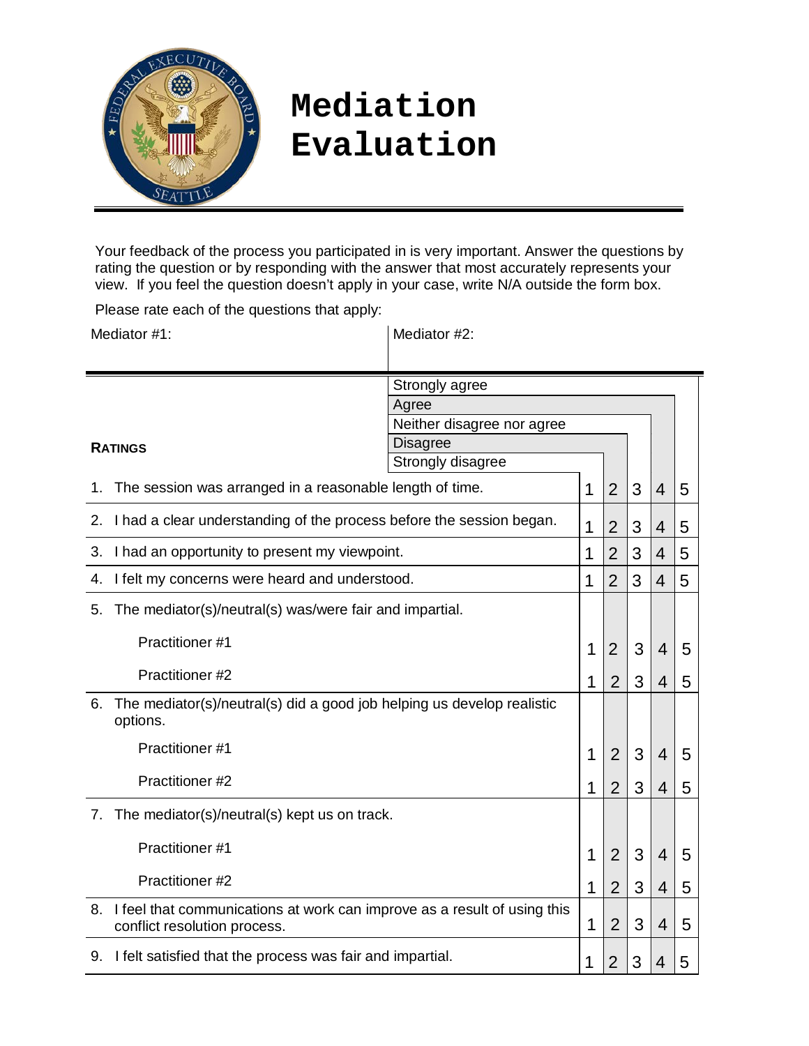

## **Mediation Evaluation**

Your feedback of the process you participated in is very important. Answer the questions by rating the question or by responding with the answer that most accurately represents your view. If you feel the question doesn't apply in your case, write N/A outside the form box.

Please rate each of the questions that apply:

| Mediator #1:                                                                        |                                                                                                          | Mediator #2:                         |                |                |                |                |   |
|-------------------------------------------------------------------------------------|----------------------------------------------------------------------------------------------------------|--------------------------------------|----------------|----------------|----------------|----------------|---|
|                                                                                     |                                                                                                          |                                      |                |                |                |                |   |
|                                                                                     |                                                                                                          | Strongly agree                       |                |                |                |                |   |
|                                                                                     |                                                                                                          | Agree                                |                |                |                |                |   |
| <b>RATINGS</b>                                                                      |                                                                                                          | Neither disagree nor agree           |                |                |                |                |   |
|                                                                                     |                                                                                                          | <b>Disagree</b><br>Strongly disagree |                |                |                |                |   |
|                                                                                     |                                                                                                          |                                      | 1              |                | 3              |                |   |
| The session was arranged in a reasonable length of time.<br>1.                      |                                                                                                          |                                      | $\overline{2}$ |                | $\overline{4}$ | 5              |   |
| I had a clear understanding of the process before the session began.<br>2.          |                                                                                                          | 1                                    | $\overline{2}$ | 3              | 4              | 5              |   |
| 3.                                                                                  | I had an opportunity to present my viewpoint.                                                            |                                      | 1              | $\overline{2}$ | 3              | 4              | 5 |
| 4.                                                                                  | I felt my concerns were heard and understood.                                                            |                                      | 1              | $\overline{2}$ | 3              | $\overline{4}$ | 5 |
| 5.                                                                                  | The mediator(s)/neutral(s) was/were fair and impartial.                                                  |                                      |                |                |                |                |   |
|                                                                                     | Practitioner #1                                                                                          |                                      | 1              | $\overline{2}$ | 3              | 4              | 5 |
| Practitioner #2                                                                     |                                                                                                          | 1                                    | $\overline{2}$ | 3              | 4              | 5              |   |
| 6.                                                                                  | The mediator(s)/neutral(s) did a good job helping us develop realistic<br>options.                       |                                      |                |                |                |                |   |
|                                                                                     | Practitioner#1                                                                                           |                                      | 1              | $\overline{2}$ | 3              | 4              | 5 |
|                                                                                     | Practitioner #2                                                                                          |                                      | 1              | 2              | 3              | 4              | 5 |
|                                                                                     | The mediator(s)/neutral(s) kept us on track.<br>7.                                                       |                                      |                |                |                |                |   |
|                                                                                     | Practitioner #1                                                                                          |                                      | 1              | $\overline{2}$ | 3              | 4              | 5 |
|                                                                                     | Practitioner #2                                                                                          |                                      | 1              | $\overline{2}$ | 3              | 4              | 5 |
| 8.                                                                                  | I feel that communications at work can improve as a result of using this<br>conflict resolution process. |                                      | 1              | $\overline{2}$ | 3              | 4              | 5 |
| 9. I felt satisfied that the process was fair and impartial.<br>$\overline{2}$<br>1 |                                                                                                          | 3                                    | 4              | 5              |                |                |   |